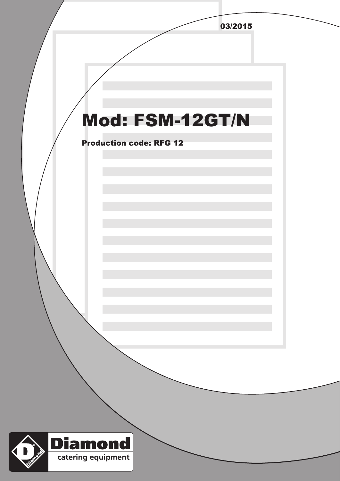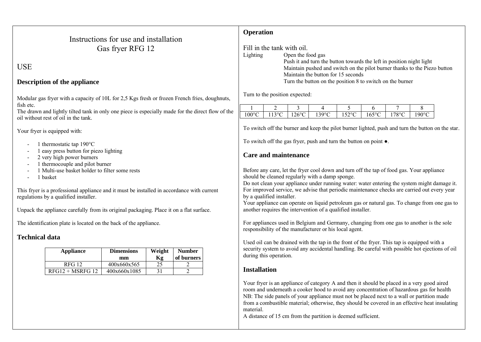| Instructions for use and installation |
|---------------------------------------|
| Gas fryer RFG 12                      |

**USE** 

### **Description of the appliance**

Modular gas fryer with a capacity of 10L for 2,5 Kgs fresh or frozen French fries, doughnuts, fish etc.

The drawn and lightly tilted tank in only one piece is especially made for the direct flow of the oil without rest of oil in the tank.

Your fryer is equipped with:

- $-1$  thermostatic tap 190 $^{\circ}$ C
- 1 easy press button for piezo lighting
- 2 very high power burners
- 1 thermocouple and pilot burner
- 1 Multi-use basket holder to filter some rests
- 1 basket

This fryer is a professional appliance and it must be installed in accordance with current regulations by a qualified installer.

Unpack the appliance carefully from its original packaging. Place it on a flat surface.

The identification plate is located on the back of the appliance.

### **Technical data**

| Appliance          | <b>Dimensions</b><br>mm | Weight<br>Kg | <b>Number</b><br>of burners |
|--------------------|-------------------------|--------------|-----------------------------|
| <b>RFG 12</b>      | 400x660x565             | 25           |                             |
| $RFG12 + MSRFG 12$ | 400x660x1085            |              |                             |

## **Operation**

Fill in the tank with oil. Lighting Open the food gas Push it and turn the button towards the left in position night light Maintain pushed and switch on the pilot burner thanks to the Piezo button Maintain the button for 15 seconds Turn the button on the position 8 to switch on the burner

Turn to the position expected:

|                 | -                                      |                                    |                               |                                          |                        |                   |             |
|-----------------|----------------------------------------|------------------------------------|-------------------------------|------------------------------------------|------------------------|-------------------|-------------|
| $100^{\circ}$ C | $\rightarrow$<br>$\sim$<br>ັ<br>◡<br>. | $\sim$ $\sim$<br>$1 \angle U$<br>◡ | $\Omega$<br>╰<br>. . <i>.</i> | $\sim$ $\sim$<br>o.<br>╰<br>. <i>. .</i> | $\sqrt{2}$<br>10J<br>◡ | $\sqrt{200}$<br>v | $\sim$<br>◡ |

To switch off the burner and keep the pilot burner lighted, push and turn the button on the star.

To switch off the gas fryer, push and turn the button on point  $\bullet$ .

# **Care and maintenance**

Before any care, let the fryer cool down and turn off the tap of food gas. Your appliance should be cleaned regularly with a damp sponge.

Do not clean your appliance under running water: water entering the system might damage it. For improved service, we advise that periodic maintenance checks are carried out every year by a qualified installer.

Your appliance can operate on liquid petroleum gas or natural gas. To change from one gas to another requires the intervention of a qualified installer.

For appliances used in Belgium and Germany, changing from one gas to another is the sole responsibility of the manufacturer or his local agent.

Used oil can be drained with the tap in the front of the fryer. This tap is equipped with a security system to avoid any accidental handling. Be careful with possible hot ejections of oil during this operation.

## **Installation**

Your fryer is an appliance of category A and then it should be placed in a very good aired room and underneath a cooker hood to avoid any concentration of hazardous gas for health NB: The side panels of your appliance must not be placed next to a wall or partition made from a combustible material; otherwise, they should be covered in an effective heat insulating material.

A distance of 15 cm from the partition is deemed sufficient.